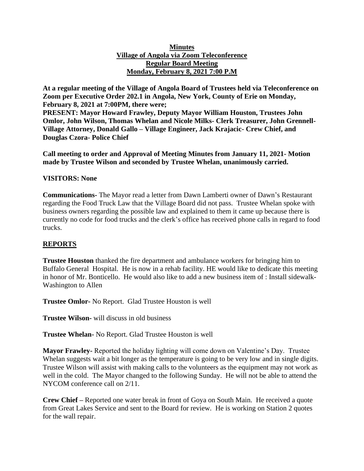#### **Minutes Village of Angola via Zoom Teleconference Regular Board Meeting Monday, February 8, 2021 7:00 P.M**

**At a regular meeting of the Village of Angola Board of Trustees held via Teleconference on Zoom per Executive Order 202.1 in Angola, New York, County of Erie on Monday, February 8, 2021 at 7:00PM, there were;**

**PRESENT: Mayor Howard Frawley, Deputy Mayor William Houston, Trustees John Omlor, John Wilson, Thomas Whelan and Nicole Milks- Clerk Treasurer, John Grennell-Village Attorney, Donald Gallo – Village Engineer, Jack Krajacic- Crew Chief, and Douglas Czora- Police Chief**

**Call meeting to order and Approval of Meeting Minutes from January 11, 2021- Motion made by Trustee Wilson and seconded by Trustee Whelan, unanimously carried.**

### **VISITORS: None**

**Communications-** The Mayor read a letter from Dawn Lamberti owner of Dawn's Restaurant regarding the Food Truck Law that the Village Board did not pass. Trustee Whelan spoke with business owners regarding the possible law and explained to them it came up because there is currently no code for food trucks and the clerk's office has received phone calls in regard to food trucks.

### **REPORTS**

**Trustee Houston** thanked the fire department and ambulance workers for bringing him to Buffalo General Hospital. He is now in a rehab facility. HE would like to dedicate this meeting in honor of Mr. Bonticello. He would also like to add a new business item of : Install sidewalk-Washington to Allen

**Trustee Omlor-** No Report. Glad Trustee Houston is well

**Trustee Wilson-** will discuss in old business

**Trustee Whelan-** No Report. Glad Trustee Houston is well

**Mayor Frawley-** Reported the holiday lighting will come down on Valentine's Day. Trustee Whelan suggests wait a bit longer as the temperature is going to be very low and in single digits. Trustee Wilson will assist with making calls to the volunteers as the equipment may not work as well in the cold. The Mayor changed to the following Sunday. He will not be able to attend the NYCOM conference call on 2/11.

**Crew Chief –** Reported one water break in front of Goya on South Main. He received a quote from Great Lakes Service and sent to the Board for review. He is working on Station 2 quotes for the wall repair.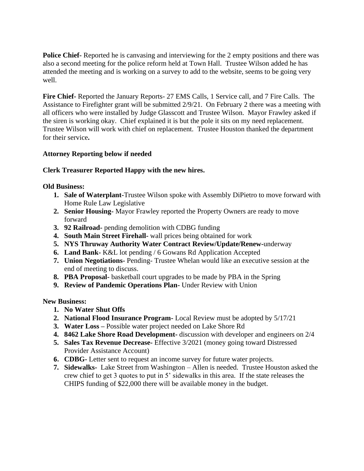**Police Chief-** Reported he is canvasing and interviewing for the 2 empty positions and there was also a second meeting for the police reform held at Town Hall. Trustee Wilson added he has attended the meeting and is working on a survey to add to the website, seems to be going very well.

**Fire Chief-** Reported the January Reports- 27 EMS Calls, 1 Service call, and 7 Fire Calls. The Assistance to Firefighter grant will be submitted 2/9/21. On February 2 there was a meeting with all officers who were installed by Judge Glasscott and Trustee Wilson. Mayor Frawley asked if the siren is working okay. Chief explained it is but the pole it sits on my need replacement. Trustee Wilson will work with chief on replacement. Trustee Houston thanked the department for their service**.**

### **Attorney Reporting below if needed**

## **Clerk Treasurer Reported Happy with the new hires.**

**Old Business:**

- **1. Sale of Waterplant-**Trustee Wilson spoke with Assembly DiPietro to move forward with Home Rule Law Legislative
- **2. Senior Housing-** Mayor Frawley reported the Property Owners are ready to move forward
- **3. 92 Railroad-** pending demolition with CDBG funding
- **4. South Main Street Firehall-** wall prices being obtained for work
- **5. NYS Thruway Authority Water Contract Review/Update/Renew-**underway
- **6. Land Bank-** K&L lot pending / 6 Gowans Rd Application Accepted
- **7. Union Negotiations-** Pending- Trustee Whelan would like an executive session at the end of meeting to discuss.
- **8. PBA Proposal-** basketball court upgrades to be made by PBA in the Spring
- **9. Review of Pandemic Operations Plan-** Under Review with Union

**New Business:**

- **1. No Water Shut Offs**
- **2. National Flood Insurance Program-** Local Review must be adopted by 5/17/21
- **3. Water Loss –** Possible water project needed on Lake Shore Rd
- **4. 8462 Lake Shore Road Development-** discussion with developer and engineers on 2/4
- **5. Sales Tax Revenue Decrease-** Effective 3/2021 (money going toward Distressed Provider Assistance Account)
- **6. CDBG-** Letter sent to request an income survey for future water projects.
- **7. Sidewalks-** Lake Street from Washington Allen is needed. Trustee Houston asked the crew chief to get 3 quotes to put in 5' sidewalks in this area. If the state releases the CHIPS funding of \$22,000 there will be available money in the budget.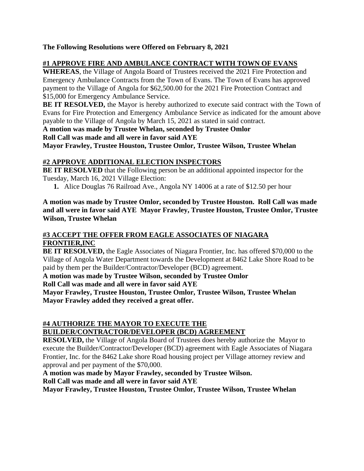**The Following Resolutions were Offered on February 8, 2021**

# **#1 APPROVE FIRE AND AMBULANCE CONTRACT WITH TOWN OF EVANS**

**WHEREAS**, the Village of Angola Board of Trustees received the 2021 Fire Protection and Emergency Ambulance Contracts from the Town of Evans. The Town of Evans has approved payment to the Village of Angola for \$62,500.00 for the 2021 Fire Protection Contract and \$15,000 for Emergency Ambulance Service.

**BE IT RESOLVED,** the Mayor is hereby authorized to execute said contract with the Town of Evans for Fire Protection and Emergency Ambulance Service as indicated for the amount above payable to the Village of Angola by March 15, 2021 as stated in said contract.

**A motion was made by Trustee Whelan, seconded by Trustee Omlor**

**Roll Call was made and all were in favor said AYE**

**Mayor Frawley, Trustee Houston, Trustee Omlor, Trustee Wilson, Trustee Whelan**

# **#2 APPROVE ADDITIONAL ELECTION INSPECTORS**

**BE IT RESOLVED** that the Following person be an additional appointed inspector for the Tuesday, March 16, 2021 Village Election:

**1.** Alice Douglas 76 Railroad Ave., Angola NY 14006 at a rate of \$12.50 per hour

**A motion was made by Trustee Omlor, seconded by Trustee Houston. Roll Call was made and all were in favor said AYE Mayor Frawley, Trustee Houston, Trustee Omlor, Trustee Wilson, Trustee Whelan**

# **#3 ACCEPT THE OFFER FROM EAGLE ASSOCIATES OF NIAGARA FRONTIER,INC**

**BE IT RESOLVED,** the Eagle Associates of Niagara Frontier, Inc. has offered \$70,000 to the Village of Angola Water Department towards the Development at 8462 Lake Shore Road to be paid by them per the Builder/Contractor/Developer (BCD) agreement.

**A motion was made by Trustee Wilson, seconded by Trustee Omlor Roll Call was made and all were in favor said AYE**

**Mayor Frawley, Trustee Houston, Trustee Omlor, Trustee Wilson, Trustee Whelan Mayor Frawley added they received a great offer.**

#### **#4 AUTHORIZE THE MAYOR TO EXECUTE THE BUILDER/CONTRACTOR/DEVELOPER (BCD) AGREEMENT**

**RESOLVED,** the Village of Angola Board of Trustees does hereby authorize the Mayor to execute the Builder/Contractor/Developer (BCD) agreement with Eagle Associates of Niagara Frontier, Inc. for the 8462 Lake shore Road housing project per Village attorney review and approval and per payment of the \$70,000.

**A motion was made by Mayor Frawley, seconded by Trustee Wilson. Roll Call was made and all were in favor said AYE**

**Mayor Frawley, Trustee Houston, Trustee Omlor, Trustee Wilson, Trustee Whelan**